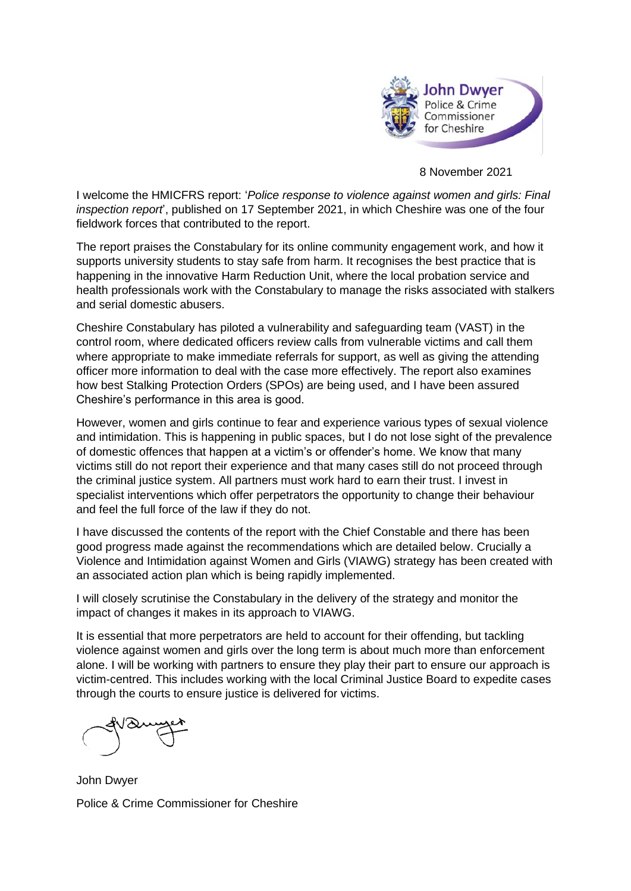

8 November 2021

I welcome the HMICFRS report: '*Police response to violence against women and girls: Final inspection report*', published on 17 September 2021, in which Cheshire was one of the four fieldwork forces that contributed to the report.

The report praises the Constabulary for its online community engagement work, and how it supports university students to stay safe from harm. It recognises the best practice that is happening in the innovative Harm Reduction Unit, where the local probation service and health professionals work with the Constabulary to manage the risks associated with stalkers and serial domestic abusers.

Cheshire Constabulary has piloted a vulnerability and safeguarding team (VAST) in the control room, where dedicated officers review calls from vulnerable victims and call them where appropriate to make immediate referrals for support, as well as giving the attending officer more information to deal with the case more effectively. The report also examines how best Stalking Protection Orders (SPOs) are being used, and I have been assured Cheshire's performance in this area is good.

However, women and girls continue to fear and experience various types of sexual violence and intimidation. This is happening in public spaces, but I do not lose sight of the prevalence of domestic offences that happen at a victim's or offender's home. We know that many victims still do not report their experience and that many cases still do not proceed through the criminal justice system. All partners must work hard to earn their trust. I invest in specialist interventions which offer perpetrators the opportunity to change their behaviour and feel the full force of the law if they do not.

I have discussed the contents of the report with the Chief Constable and there has been good progress made against the recommendations which are detailed below. Crucially a Violence and Intimidation against Women and Girls (VIAWG) strategy has been created with an associated action plan which is being rapidly implemented.

I will closely scrutinise the Constabulary in the delivery of the strategy and monitor the impact of changes it makes in its approach to VIAWG.

It is essential that more perpetrators are held to account for their offending, but tackling violence against women and girls over the long term is about much more than enforcement alone. I will be working with partners to ensure they play their part to ensure our approach is victim-centred. This includes working with the local Criminal Justice Board to expedite cases through the courts to ensure justice is delivered for victims.

John Dwyer Police & Crime Commissioner for Cheshire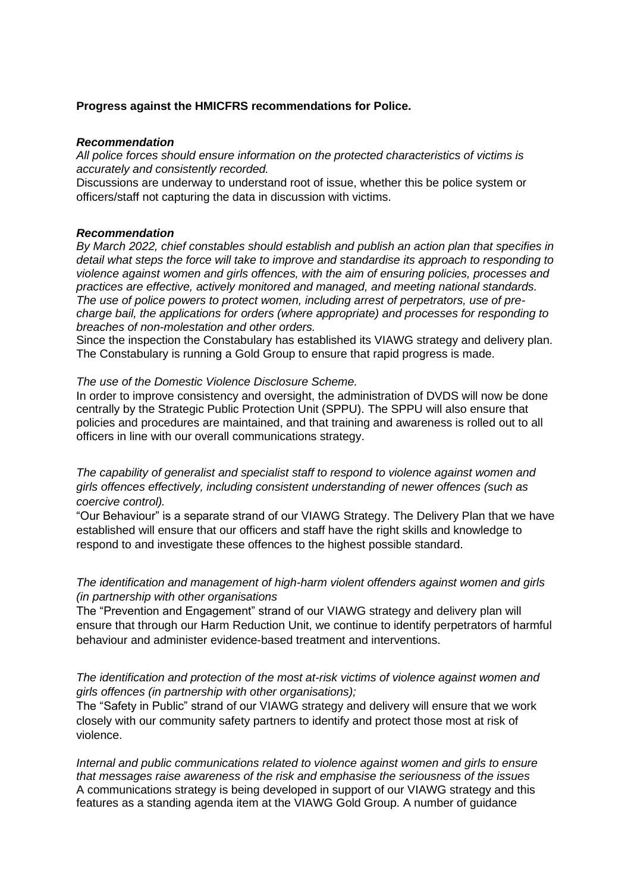# **Progress against the HMICFRS recommendations for Police.**

### *Recommendation*

*All police forces should ensure information on the protected characteristics of victims is accurately and consistently recorded.*

Discussions are underway to understand root of issue, whether this be police system or officers/staff not capturing the data in discussion with victims.

### *Recommendation*

*By March 2022, chief constables should establish and publish an action plan that specifies in detail what steps the force will take to improve and standardise its approach to responding to violence against women and girls offences, with the aim of ensuring policies, processes and practices are effective, actively monitored and managed, and meeting national standards. The use of police powers to protect women, including arrest of perpetrators, use of precharge bail, the applications for orders (where appropriate) and processes for responding to breaches of non-molestation and other orders.*

Since the inspection the Constabulary has established its VIAWG strategy and delivery plan. The Constabulary is running a Gold Group to ensure that rapid progress is made.

### *The use of the Domestic Violence Disclosure Scheme.*

In order to improve consistency and oversight, the administration of DVDS will now be done centrally by the Strategic Public Protection Unit (SPPU). The SPPU will also ensure that policies and procedures are maintained, and that training and awareness is rolled out to all officers in line with our overall communications strategy.

*The capability of generalist and specialist staff to respond to violence against women and girls offences effectively, including consistent understanding of newer offences (such as coercive control).*

"Our Behaviour" is a separate strand of our VIAWG Strategy. The Delivery Plan that we have established will ensure that our officers and staff have the right skills and knowledge to respond to and investigate these offences to the highest possible standard.

# *The identification and management of high-harm violent offenders against women and girls (in partnership with other organisations*

The "Prevention and Engagement" strand of our VIAWG strategy and delivery plan will ensure that through our Harm Reduction Unit, we continue to identify perpetrators of harmful behaviour and administer evidence-based treatment and interventions.

*The identification and protection of the most at-risk victims of violence against women and girls offences (in partnership with other organisations);*

The "Safety in Public" strand of our VIAWG strategy and delivery will ensure that we work closely with our community safety partners to identify and protect those most at risk of violence.

*Internal and public communications related to violence against women and girls to ensure that messages raise awareness of the risk and emphasise the seriousness of the issues* A communications strategy is being developed in support of our VIAWG strategy and this features as a standing agenda item at the VIAWG Gold Group. A number of guidance